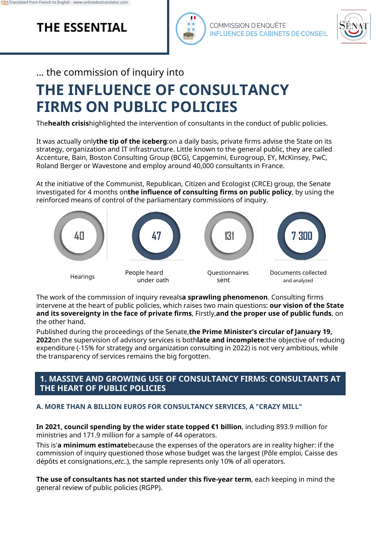**THE ESSENTIAL**



**COMMISSION D'ENQUÊTE INFLUENCE DES CABINETS DE CONSEIL** 



… the commission of inquiry into

# **THE INFLUENCE OF CONSULTANCY FIRMS ON PUBLIC POLICIES**

The**health crisis**highlighted the intervention of consultants in the conduct of public policies.

It was actually only**the tip of the iceberg**:on a daily basis, private firms advise the State on its strategy, organization and IT infrastructure. Little known to the general public, they are called Accenture, Bain, Boston Consulting Group (BCG), Capgemini, Eurogroup, EY, McKinsey, PwC, Roland Berger or Wavestone and employ around 40,000 consultants in France.

At the initiative of the Communist, Republican, Citizen and Ecologist (CRCE) group, the Senate investigated for 4 months on**the influence of consulting firms on public policy**, by using the reinforced means of control of the parliamentary commissions of inquiry.



The work of the commission of inquiry reveals**a sprawling phenomenon**. Consulting firms intervene at the heart of public policies, which raises two main questions: **our vision of the State and its sovereignty in the face of private firms**, Firstly,**and the proper use of public funds**, on the other hand.

Published during the proceedings of the Senate,**the Prime Minister's circular of January 19, 2022**on the supervision of advisory services is both**late and incomplete**:the objective of reducing expenditure (-15% for strategy and organization consulting in 2022) is not very ambitious, while the transparency of services remains the big forgotten.

## **1. MASSIVE AND GROWING USE OF CONSULTANCY FIRMS: CONSULTANTS AT THE HEART OF PUBLIC POLICIES**

## **A. MORE THAN A BILLION EUROS FOR CONSULTANCY SERVICES, A "CRAZY MILL"**

**In 2021, council spending by the wider state topped €1 billion**, including 893.9 million for ministries and 171.9 million for a sample of 44 operators.

This is'**a minimum estimate**because the expenses of the operators are in reality higher: if the commission of inquiry questioned those whose budget was the largest (Pôle emploi, Caisse des dépôts et consignations, etc..), the sample represents only 10% of all operators.

**The use of consultants has not started under this five-year term**, each keeping in mind the general review of public policies (RGPP).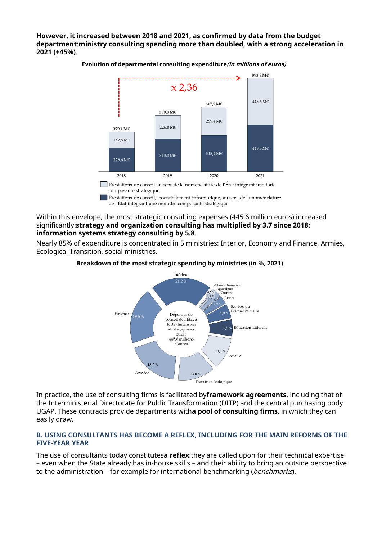**However, it increased between 2018 and 2021, as confirmed by data from the budget department**:**ministry consulting spending more than doubled, with a strong acceleration in 2021 (+45%)**.



**Evolution of departmental consulting expenditure(in millions of euros)**

Prestations de conseil au sens de la nomenclature de l'État intégrant une forte composante stratégique

Prestations de conseil, essentiellement informatique, au sens de la nomenclature de l'État intégrant une moindre composante stratégique

#### Within this envelope, the most strategic consulting expenses (445.6 million euros) increased significantly:**strategy and organization consulting has multiplied by 3.7 since 2018; information systems strategy consulting by 5.8**.

Nearly 85% of expenditure is concentrated in 5 ministries: Interior, Economy and Finance, Armies, Ecological Transition, social ministries.

#### Intérieur  $21.2%$ Affaires étrangères Agriculture .<br>Culture Justice Services du .<br>Premier ministre Finances Dépenses de  $96%$ conseil de l'État à forte dimension Éducation nationale  $5.8<sup>°</sup>$ stratégique en  $2021:$ 445.6 millions d'euros  $11.1<sup>9</sup>$ Sociaux  $182%$ Armées  $13.0%$ \_<br>Transition écologique

#### **Breakdown of the most strategic spending by ministries (in %, 2021)**

In practice, the use of consulting firms is facilitated by**framework agreements**, including that of the Interministerial Directorate for Public Transformation (DITP) and the central purchasing body UGAP. These contracts provide departments with**a pool of consulting firms**, in which they can easily draw.

#### **B. USING CONSULTANTS HAS BECOME A REFLEX, INCLUDING FOR THE MAIN REFORMS OF THE FIVE-YEAR YEAR**

The use of consultants today constitutes**a reflex**:they are called upon for their technical expertise – even when the State already has in-house skills – and their ability to bring an outside perspective to the administration – for example for international benchmarking (*benchmarks*).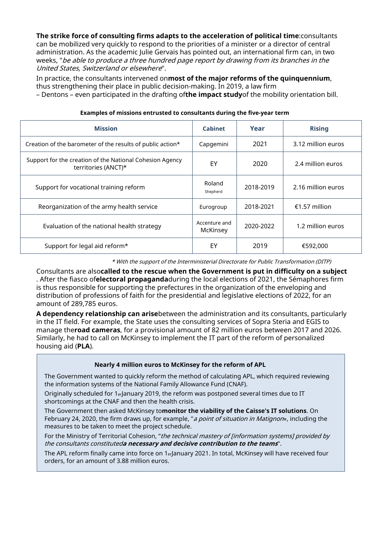**The strike force of consulting firms adapts to the acceleration of political time**:consultants can be mobilized very quickly to respond to the priorities of a minister or a director of central administration. As the academic Julie Gervais has pointed out, an international firm can, in two weeks, "be able to produce a three hundred page report by drawing from its branches in the United States, Switzerland or elsewhere".

In practice, the consultants intervened on**most of the major reforms of the quinquennium**, thus strengthening their place in public decision-making. In 2019, a law firm

– Dentons – even participated in the drafting of**the impact study**of the mobility orientation bill.

| <b>Mission</b>                                                                  | <b>Cabinet</b>            | Year      | <b>Rising</b>      |
|---------------------------------------------------------------------------------|---------------------------|-----------|--------------------|
| Creation of the barometer of the results of public action*                      | Capgemini                 | 2021      | 3.12 million euros |
| Support for the creation of the National Cohesion Agency<br>territories (ANCT)* | EY                        | 2020      | 2.4 million euros  |
| Support for vocational training reform                                          | Roland<br>Shepherd        | 2018-2019 | 2.16 million euros |
| Reorganization of the army health service                                       | Eurogroup                 | 2018-2021 | €1.57 million      |
| Evaluation of the national health strategy                                      | Accenture and<br>McKinsey | 2020-2022 | 1.2 million euros  |
| Support for legal aid reform*                                                   | EY                        | 2019      | €592,000           |

#### **Examples of missions entrusted to consultants during the five-year term**

\* With the support of the Interministerial Directorate for Public Transformation (DITP)

Consultants are also**called to the rescue when the Government is put in difficulty on a subject** . After the fiasco of**electoral propaganda**during the local elections of 2021, the Sémaphores firm is thus responsible for supporting the prefectures in the organization of the enveloping and distribution of professions of faith for the presidential and legislative elections of 2022, for an amount of 289,785 euros.

**A dependency relationship can arise**between the administration and its consultants, particularly in the IT field. For example, the State uses the consulting services of Sopra Steria and EGIS to manage the**road cameras**, for a provisional amount of 82 million euros between 2017 and 2026. Similarly, he had to call on McKinsey to implement the IT part of the reform of personalized housing aid (**PLA**).

#### **Nearly 4 million euros to McKinsey for the reform of APL**

The Government wanted to quickly reform the method of calculating APL, which required reviewing the information systems of the National Family Allowance Fund (CNAF).

Originally scheduled for 1erJanuary 2019, the reform was postponed several times due to IT shortcomings at the CNAF and then the health crisis.

The Government then asked McKinsey to**monitor the viability of the Caisse's IT solutions**. On February 24, 2020, the firm draws up, for example, "*a point of situation in Matignon*», including the measures to be taken to meet the project schedule.

For the Ministry of Territorial Cohesion, "the technical mastery of [information systems] provided by the consultants constituted**a necessary and decisive contribution to the teams**".

The APL reform finally came into force on 1<sub>er</sub> and 10221. In total, McKinsey will have received four orders, for an amount of 3.88 million euros.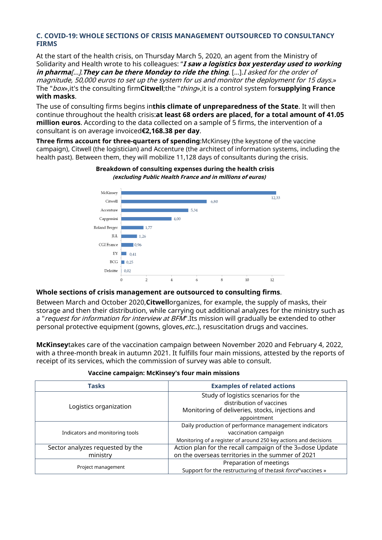#### **C. COVID-19: WHOLE SECTIONS OF CRISIS MANAGEMENT OUTSOURCED TO CONSULTANCY FIRMS**

At the start of the health crisis, on Thursday March 5, 2020, an agent from the Ministry of Solidarity and Health wrote to his colleagues: "**I saw a logistics box yesterday used to working in pharma**[…].**They can be there Monday to ride the thing**. […].I asked for the order of magnitude, 50,000 euros to set up the system for us and monitor the deployment for 15 days.» The "box»,it's the consulting firm**Citwell**;the "thing»,it is a control system for**supplying France with masks**.

The use of consulting firms begins in**this climate of unpreparedness of the State**. It will then continue throughout the health crisis:**at least 68 orders are placed, for a total amount of 41.05 million euros**. According to the data collected on a sample of 5 firms, the intervention of a consultant is on average invoiced**€2,168.38 per day**.

**Three firms account for three-quarters of spending**:McKinsey (the keystone of the vaccine campaign), Citwell (the logistician) and Accenture (the architect of information systems, including the health past). Between them, they will mobilize 11,128 days of consultants during the crisis.



#### **Breakdown of consulting expenses during the health crisis (excluding Public Health France and in millions of euros)**

#### **Whole sections of crisis management are outsourced to consulting firms**.

Between March and October 2020,**Citwell**organizes, for example, the supply of masks, their storage and then their distribution, while carrying out additional analyzes for the ministry such as a "request for information for interview at BFM".Its mission will gradually be extended to other personal protective equipment (gowns, gloves,etc..), resuscitation drugs and vaccines.

**McKinsey**takes care of the vaccination campaign between November 2020 and February 4, 2022, with a three-month break in autumn 2021. It fulfills four main missions, attested by the reports of receipt of its services, which the commission of survey was able to consult.

| <b>Tasks</b>                     | <b>Examples of related actions</b>                               |  |  |
|----------------------------------|------------------------------------------------------------------|--|--|
| Logistics organization           | Study of logistics scenarios for the                             |  |  |
|                                  | distribution of vaccines                                         |  |  |
|                                  | Monitoring of deliveries, stocks, injections and                 |  |  |
|                                  | appointment                                                      |  |  |
| Indicators and monitoring tools  | Daily production of performance management indicators            |  |  |
|                                  | vaccination campaign                                             |  |  |
|                                  | Monitoring of a register of around 250 key actions and decisions |  |  |
| Sector analyzes requested by the | Action plan for the recall campaign of the 3th dose Update       |  |  |
| ministry                         | on the overseas territories in the summer of 2021                |  |  |
| Project management               | Preparation of meetings                                          |  |  |
|                                  | Support for the restructuring of the task force"vaccines »       |  |  |

#### **Vaccine campaign: McKinsey's four main missions**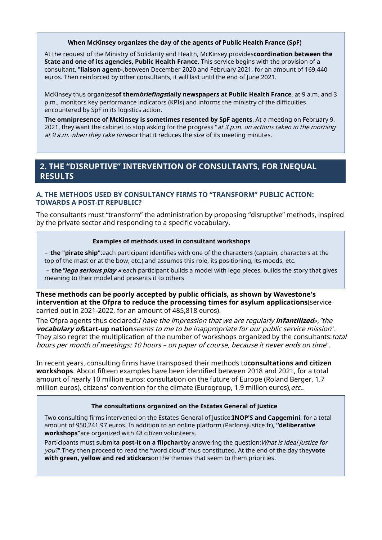#### **When McKinsey organizes the day of the agents of Public Health France (SpF)**

At the request of the Ministry of Solidarity and Health, McKinsey provides**coordination between the State and one of its agencies, Public Health France**. This service begins with the provision of a consultant, "**liaison agent**»,between December 2020 and February 2021, for an amount of 169,440 euros. Then reinforced by other consultants, it will last until the end of June 2021.

McKinsey thus organizes**of thembriefingsdaily newspapers at Public Health France**, at 9 a.m. and 3 p.m., monitors key performance indicators (KPIs) and informs the ministry of the difficulties encountered by SpF in its logistics action.

**The omnipresence of McKinsey is sometimes resented by SpF agents**. At a meeting on February 9, 2021, they want the cabinet to stop asking for the progress "at 3 p.m. on actions taken in the morning at 9 a.m. when they take time » or that it reduces the size of its meeting minutes.

## **2. THE "DISRUPTIVE" INTERVENTION OF CONSULTANTS, FOR INEQUAL RESULTS**

#### **A. THE METHODS USED BY CONSULTANCY FIRMS TO "TRANSFORM" PUBLIC ACTION: TOWARDS A POST-IT REPUBLIC?**

The consultants must "transform" the administration by proposing "disruptive" methods, inspired by the private sector and responding to a specific vocabulary.

#### **Examples of methods used in consultant workshops**

– **the "pirate ship"**:each participant identifies with one of the characters (captain, characters at the top of the mast or at the bow, etc.) and assumes this role, its positioning, its moods, etc.

– **the"lego serious play »**:each participant builds a model with lego pieces, builds the story that gives meaning to their model and presents it to others

**These methods can be poorly accepted by public officials, as shown by Wavestone's intervention at the Ofpra to reduce the processing times for asylum applications**(service carried out in 2021-2022, for an amount of 485,818 euros).

The Ofpra agents thus declared:I have the impression that we are regularly **infantilized**»,"the **vocabulary ofstart-up nation**seems to me to be inappropriate for our public service mission". They also regret the multiplication of the number of workshops organized by the consultants: total hours per month of meetings: 10 hours – on paper of course, because it never ends on time".

In recent years, consulting firms have transposed their methods to**consultations and citizen workshops**. About fifteen examples have been identified between 2018 and 2021, for a total amount of nearly 10 million euros: consultation on the future of Europe (Roland Berger, 1.7 million euros), citizens' convention for the climate (Eurogroup, 1.9 million euros), etc..

#### **The consultations organized on the Estates General of Justice**

Two consulting firms intervened on the Estates General of Justice:**INOP'S and Capgemini**, for a total amount of 950,241.97 euros. In addition to an online platform (Parlonsjustice.fr), **"deliberative workshops"**are organized with 48 citizen volunteers.

Participants must submita post-it on a flipchartby answering the question: What is ideal justice for you?".They then proceed to read the "word cloud" thus constituted. At the end of the day they**vote with green, yellow and red stickers**on the themes that seem to them priorities.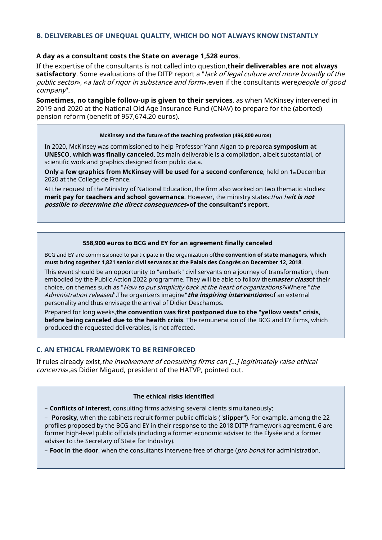#### **B. DELIVERABLES OF UNEQUAL QUALITY, WHICH DO NOT ALWAYS KNOW INSTANTLY**

#### **A day as a consultant costs the State on average 1,528 euros**.

If the expertise of the consultants is not called into question,**their deliverables are not always satisfactory**. Some evaluations of the DITP report a "lack of legal culture and more broadly of the public sector», «a lack of rigor in substance and form», even if the consultants were people of good company".

**Sometimes, no tangible follow-up is given to their services**, as when McKinsey intervened in 2019 and 2020 at the National Old Age Insurance Fund (CNAV) to prepare for the (aborted) pension reform (benefit of 957,674.20 euros).

#### **McKinsey and the future of the teaching profession (496,800 euros)**

In 2020, McKinsey was commissioned to help Professor Yann Algan to prepare**a symposium at UNESCO, which was finally canceled**. Its main deliverable is a compilation, albeit substantial, of scientific work and graphics designed from public data.

**Only a few graphics from McKinsey will be used for a second conference**, held on 1erDecember 2020 at the College de France.

At the request of the Ministry of National Education, the firm also worked on two thematic studies: **merit pay for teachers and school governance**. However, the ministry states:that he**it is not possible to determine the direct consequences**»**of the consultant's report**.

#### **558,900 euros to BCG and EY for an agreement finally canceled**

BCG and EY are commissioned to participate in the organization of**the convention of state managers, which must bring together 1,821 senior civil servants at the Palais des Congrès on December 12, 2018**.

This event should be an opportunity to "embark" civil servants on a journey of transformation, then embodied by the Public Action 2022 programme. They will be able to follow the**master class**of their choice, on themes such as "How to put simplicity back at the heart of organizations?»Where "the Administration released".The organizers imagine**"the inspiring intervention»**of an external personality and thus envisage the arrival of Didier Deschamps.

Prepared for long weeks,**the convention was first postponed due to the "yellow vests" crisis, before being canceled due to the health crisis**. The remuneration of the BCG and EY firms, which produced the requested deliverables, is not affected.

#### **C. AN ETHICAL FRAMEWORK TO BE REINFORCED**

If rules already exist, the involvement of consulting firms can [...] legitimately raise ethical concerns»,as Didier Migaud, president of the HATVP, pointed out.

#### **The ethical risks identified**

– **Conflicts of interest**, consulting firms advising several clients simultaneously;

– **Porosity**, when the cabinets recruit former public officials ("**slipper**"). For example, among the 22 profiles proposed by the BCG and EY in their response to the 2018 DITP framework agreement, 6 are former high-level public officials (including a former economic adviser to the Élysée and a former adviser to the Secretary of State for Industry).

– **Foot in the door**, when the consultants intervene free of charge (pro bono) for administration.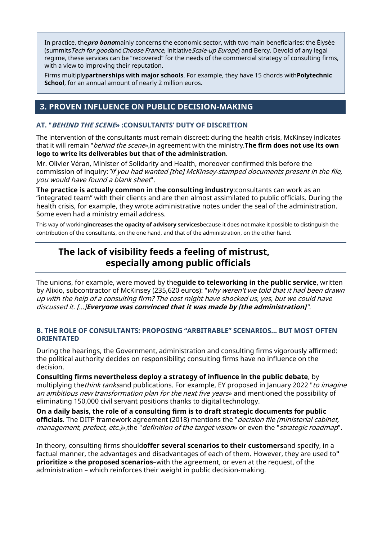In practice, the**pro bono**mainly concerns the economic sector, with two main beneficiaries: the Élysée (summits Tech for goodand Choose France, initiative Scale-up Europe) and Bercy. Devoid of any legal regime, these services can be "recovered" for the needs of the commercial strategy of consulting firms, with a view to improving their reputation.

Firms multiply**partnerships with major schools**. For example, they have 15 chords with**Polytechnic School**, for an annual amount of nearly 2 million euros.

## **3. PROVEN INFLUENCE ON PUBLIC DECISION-MAKING**

### **AT. "BEHIND THE SCENE» :CONSULTANTS' DUTY OF DISCRETION**

The intervention of the consultants must remain discreet: during the health crisis, McKinsey indicates that it will remain "behind the scene»,in agreement with the ministry.**The firm does not use its own logo to write its deliverables but that of the administration**.

Mr. Olivier Véran, Minister of Solidarity and Health, moreover confirmed this before the commission of inquiry:"if you had wanted [the] McKinsey-stamped documents present in the file, you would have found a blank sheet".

**The practice is actually common in the consulting industry**:consultants can work as an "integrated team" with their clients and are then almost assimilated to public officials. During the health crisis, for example, they wrote administrative notes under the seal of the administration. Some even had a ministry email address.

This way of working**increases the opacity of advisory services**because it does not make it possible to distinguish the contribution of the consultants, on the one hand, and that of the administration, on the other hand.

## **The lack of visibility feeds a feeling of mistrust, especially among public officials**

The unions, for example, were moved by the**guide to teleworking in the public service**, written by Alixio, subcontractor of McKinsey (235,620 euros): "why weren't we told that it had been drawn up with the help of a consulting firm? The cost might have shocked us, yes, but we could have discussed it. […]**Everyone was convinced that it was made by [the administration]**".

#### **B. THE ROLE OF CONSULTANTS: PROPOSING "ARBITRABLE" SCENARIOS… BUT MOST OFTEN ORIENTATED**

During the hearings, the Government, administration and consulting firms vigorously affirmed: the political authority decides on responsibility; consulting firms have no influence on the decision.

**Consulting firms nevertheless deploy a strategy of influence in the public debate**, by multiplying the *think tanks*and publications. For example, EY proposed in January 2022 "to *imagine* an ambitious new transformation plan for the next five years» and mentioned the possibility of eliminating 150,000 civil servant positions thanks to digital technology.

**On a daily basis, the role of a consulting firm is to draft strategic documents for public officials**. The DITP framework agreement (2018) mentions the "decision file (ministerial cabinet, management, prefect, etc.)», the "definition of the target vision» or even the "strategic roadmap".

In theory, consulting firms should**offer several scenarios to their customers**and specify, in a factual manner, the advantages and disadvantages of each of them. However, they are used to**" prioritize » the proposed scenarios**–with the agreement, or even at the request, of the administration – which reinforces their weight in public decision-making.